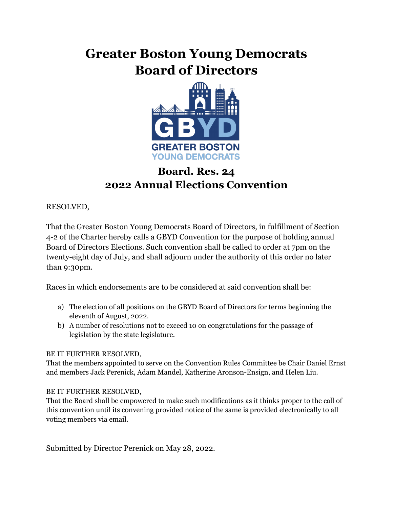## **Greater Boston Young Democrats Board of Directors**



## **Board. Res. 24 2022 Annual Elections Convention**

RESOLVED,

That the Greater Boston Young Democrats Board of Directors, in fulfillment of Section 4-2 of the Charter hereby calls a GBYD Convention for the purpose of holding annual Board of Directors Elections. Such convention shall be called to order at 7pm on the twenty-eight day of July, and shall adjourn under the authority of this order no later than 9:30pm.

Races in which endorsements are to be considered at said convention shall be:

- a) The election of all positions on the GBYD Board of Directors for terms beginning the eleventh of August, 2022.
- b) A number of resolutions not to exceed 10 on congratulations for the passage of legislation by the state legislature.

## BE IT FURTHER RESOLVED,

That the members appointed to serve on the Convention Rules Committee be Chair Daniel Ernst and members Jack Perenick, Adam Mandel, Katherine Aronson-Ensign, and Helen Liu.

## BE IT FURTHER RESOLVED,

That the Board shall be empowered to make such modifications as it thinks proper to the call of this convention until its convening provided notice of the same is provided electronically to all voting members via email.

Submitted by Director Perenick on May 28, 2022.